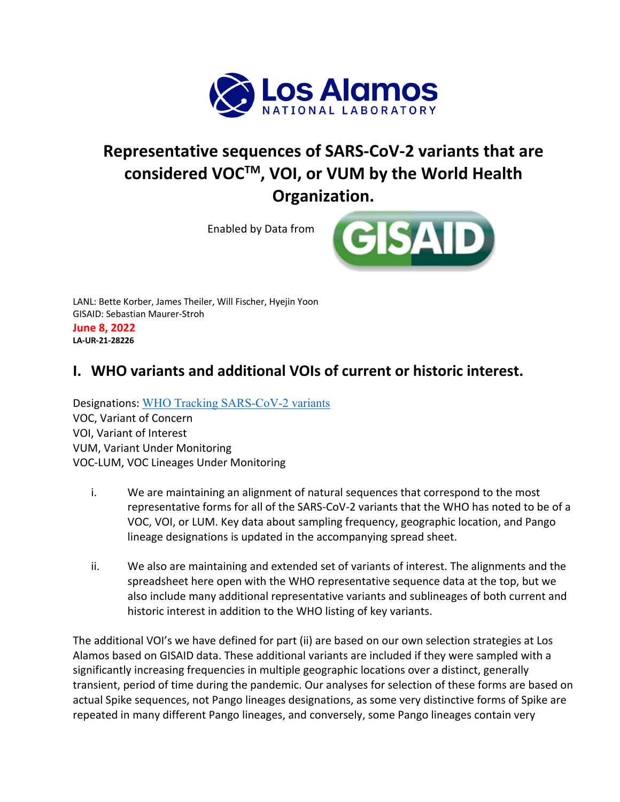

# **Representative sequences of SARS-CoV-2 variants that are considered VOCTM, VOI, or VUM by the World Health Organization.**

Enabled by Data from



LANL: Bette Korber, James Theiler, Will Fischer, Hyejin Yoon GISAID: Sebastian Maurer-Stroh **June 8, 2022 LA-UR-21-28226**

## **I. WHO variants and additional VOIs of current or historic interest.**

Designations: WHO Tracking SARS-CoV-2 variants VOC, Variant of Concern VOI, Variant of Interest VUM, Variant Under Monitoring VOC-LUM, VOC Lineages Under Monitoring

- i. We are maintaining an alignment of natural sequences that correspond to the most representative forms for all of the SARS-CoV-2 variants that the WHO has noted to be of a VOC, VOI, or LUM. Key data about sampling frequency, geographic location, and Pango lineage designations is updated in the accompanying spread sheet.
- ii. We also are maintaining and extended set of variants of interest. The alignments and the spreadsheet here open with the WHO representative sequence data at the top, but we also include many additional representative variants and sublineages of both current and historic interest in addition to the WHO listing of key variants.

The additional VOI's we have defined for part (ii) are based on our own selection strategies at Los Alamos based on GISAID data. These additional variants are included if they were sampled with a significantly increasing frequencies in multiple geographic locations over a distinct, generally transient, period of time during the pandemic. Our analyses for selection of these forms are based on actual Spike sequences, not Pango lineages designations, as some very distinctive forms of Spike are repeated in many different Pango lineages, and conversely, some Pango lineages contain very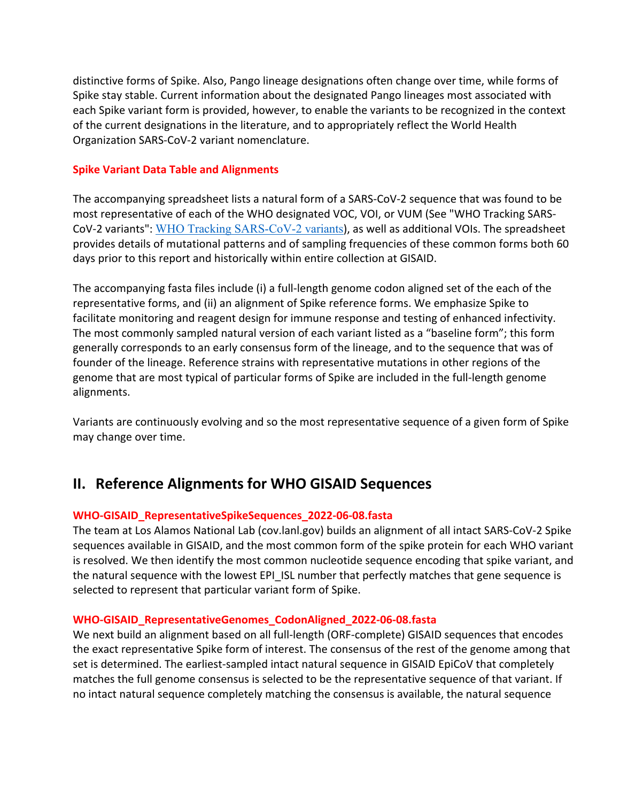distinctive forms of Spike. Also, Pango lineage designations often change over time, while forms of Spike stay stable. Current information about the designated Pango lineages most associated with each Spike variant form is provided, however, to enable the variants to be recognized in the context of the current designations in the literature, and to appropriately reflect the World Health Organization SARS-CoV-2 variant nomenclature.

#### **Spike Variant Data Table and Alignments**

The accompanying spreadsheet lists a natural form of a SARS-CoV-2 sequence that was found to be most representative of each of the WHO designated VOC, VOI, or VUM (See "WHO Tracking SARS-CoV-2 variants": WHO Tracking SARS-CoV-2 variants), as well as additional VOIs. The spreadsheet provides details of mutational patterns and of sampling frequencies of these common forms both 60 days prior to this report and historically within entire collection at GISAID.

The accompanying fasta files include (i) a full-length genome codon aligned set of the each of the representative forms, and (ii) an alignment of Spike reference forms. We emphasize Spike to facilitate monitoring and reagent design for immune response and testing of enhanced infectivity. The most commonly sampled natural version of each variant listed as a "baseline form"; this form generally corresponds to an early consensus form of the lineage, and to the sequence that was of founder of the lineage. Reference strains with representative mutations in other regions of the genome that are most typical of particular forms of Spike are included in the full-length genome alignments.

Variants are continuously evolving and so the most representative sequence of a given form of Spike may change over time.

### **II. Reference Alignments for WHO GISAID Sequences**

### **WHO-GISAID\_RepresentativeSpikeSequences\_2022-06-08.fasta**

The team at Los Alamos National Lab (cov.lanl.gov) builds an alignment of all intact SARS-CoV-2 Spike sequences available in GISAID, and the most common form of the spike protein for each WHO variant is resolved. We then identify the most common nucleotide sequence encoding that spike variant, and the natural sequence with the lowest EPI ISL number that perfectly matches that gene sequence is selected to represent that particular variant form of Spike.

#### **WHO-GISAID\_RepresentativeGenomes\_CodonAligned\_2022-06-08.fasta**

We next build an alignment based on all full-length (ORF-complete) GISAID sequences that encodes the exact representative Spike form of interest. The consensus of the rest of the genome among that set is determined. The earliest-sampled intact natural sequence in GISAID EpiCoV that completely matches the full genome consensus is selected to be the representative sequence of that variant. If no intact natural sequence completely matching the consensus is available, the natural sequence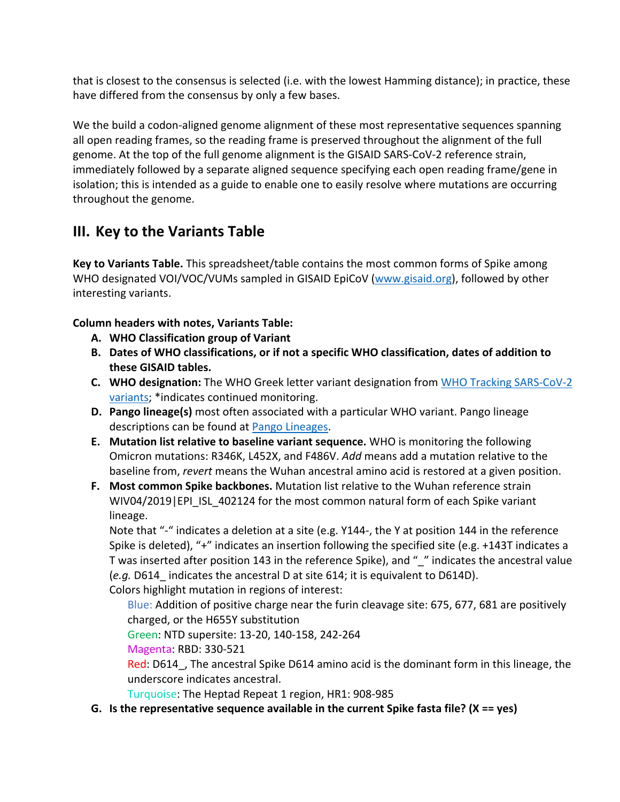that is closest to the consensus is selected (i.e. with the lowest Hamming distance); in practice, these have differed from the consensus by only a few bases.

We the build a codon-aligned genome alignment of these most representative sequences spanning all open reading frames, so the reading frame is preserved throughout the alignment of the full genome. At the top of the full genome alignment is the GISAID SARS-CoV-2 reference strain, immediately followed by a separate aligned sequence specifying each open reading frame/gene in isolation; this is intended as a guide to enable one to easily resolve where mutations are occurring throughout the genome.

## **III. Key to the Variants Table**

**Key to Variants Table.** This spreadsheet/table contains the most common forms of Spike among WHO designated VOI/VOC/VUMs sampled in GISAID EpiCoV (www.gisaid.org), followed by other interesting variants.

### **Column headers with notes, Variants Table:**

- **A. WHO Classification group of Variant**
- **B. Dates of WHO classifications, or if not a specific WHO classification, dates of addition to these GISAID tables.**
- **C. WHO designation:** The WHO Greek letter variant designation from WHO Tracking SARS-CoV-2 variants; \*indicates continued monitoring.
- **D. Pango lineage(s)** most often associated with a particular WHO variant. Pango lineage descriptions can be found at Pango Lineages.
- **E. Mutation list relative to baseline variant sequence.** WHO is monitoring the following Omicron mutations: R346K, L452X, and F486V. *Add* means add a mutation relative to the baseline from, *revert* means the Wuhan ancestral amino acid is restored at a given position.
- **F. Most common Spike backbones.** Mutation list relative to the Wuhan reference strain WIV04/2019|EPI\_ISL\_402124 for the most common natural form of each Spike variant lineage.

Note that "-" indicates a deletion at a site (e.g. Y144-, the Y at position 144 in the reference Spike is deleted), "+" indicates an insertion following the specified site (e.g. +143T indicates a T was inserted after position 143 in the reference Spike), and "\_" indicates the ancestral value (*e.g.* D614\_ indicates the ancestral D at site 614; it is equivalent to D614D). Colors highlight mutation in regions of interest:

Blue: Addition of positive charge near the furin cleavage site: 675, 677, 681 are positively charged, or the H655Y substitution

Green: NTD supersite: 13-20, 140-158, 242-264

Magenta: RBD: 330-521

Red: D614, The ancestral Spike D614 amino acid is the dominant form in this lineage, the underscore indicates ancestral.

Turquoise: The Heptad Repeat 1 region, HR1: 908-985

**G. Is the representative sequence available in the current Spike fasta file? (X == yes)**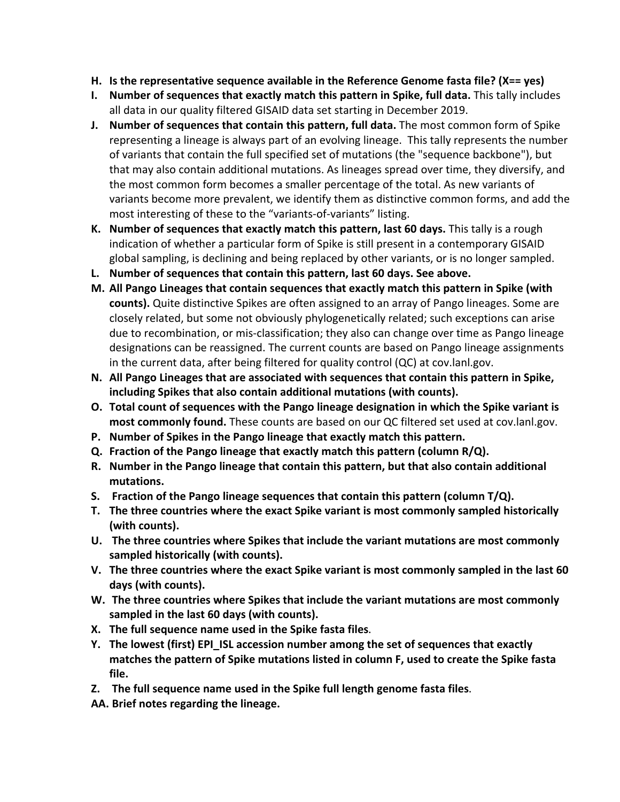- **H. Is the representative sequence available in the Reference Genome fasta file? (X== yes)**
- **I.** Number of sequences that exactly match this pattern in Spike, full data. This tally includes all data in our quality filtered GISAID data set starting in December 2019.
- **J. Number of sequences that contain this pattern, full data.** The most common form of Spike representing a lineage is always part of an evolving lineage. This tally represents the number of variants that contain the full specified set of mutations (the "sequence backbone"), but that may also contain additional mutations. As lineages spread over time, they diversify, and the most common form becomes a smaller percentage of the total. As new variants of variants become more prevalent, we identify them as distinctive common forms, and add the most interesting of these to the "variants-of-variants" listing.
- **K. Number of sequences that exactly match this pattern, last 60 days.** This tally is a rough indication of whether a particular form of Spike is still present in a contemporary GISAID global sampling, is declining and being replaced by other variants, or is no longer sampled.
- **L. Number of sequences that contain this pattern, last 60 days. See above.**
- **M. All Pango Lineages that contain sequences that exactly match this pattern in Spike (with counts).** Quite distinctive Spikes are often assigned to an array of Pango lineages. Some are closely related, but some not obviously phylogenetically related; such exceptions can arise due to recombination, or mis-classification; they also can change over time as Pango lineage designations can be reassigned. The current counts are based on Pango lineage assignments in the current data, after being filtered for quality control (QC) at cov.lanl.gov.
- **N. All Pango Lineages that are associated with sequences that contain this pattern in Spike, including Spikes that also contain additional mutations (with counts).**
- **O. Total count of sequences with the Pango lineage designation in which the Spike variant is most commonly found.** These counts are based on our QC filtered set used at cov.lanl.gov.
- **P. Number of Spikes in the Pango lineage that exactly match this pattern.**
- **Q. Fraction of the Pango lineage that exactly match this pattern (column R/Q).**
- **R. Number in the Pango lineage that contain this pattern, but that also contain additional mutations.**
- **S. Fraction of the Pango lineage sequences that contain this pattern (column T/Q).**
- **T. The three countries where the exact Spike variant is most commonly sampled historically (with counts).**
- **U. The three countries where Spikes that include the variant mutations are most commonly sampled historically (with counts).**
- **V. The three countries where the exact Spike variant is most commonly sampled in the last 60 days (with counts).**
- **W. The three countries where Spikes that include the variant mutations are most commonly sampled in the last 60 days (with counts).**
- **X. The full sequence name used in the Spike fasta files.**
- **Y. The lowest (first) EPI\_ISL accession number among the set of sequences that exactly matches the pattern of Spike mutations listed in column F, used to create the Spike fasta file.**
- **Z. The full sequence name used in the Spike full length genome fasta files.**
- **AA. Brief notes regarding the lineage.**